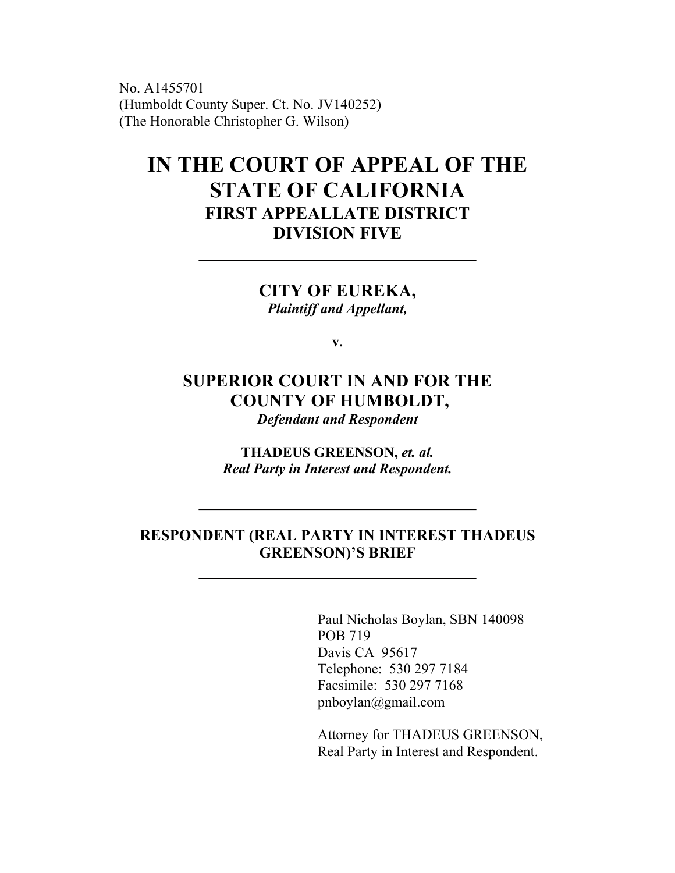No. A1455701 (Humboldt County Super. Ct. No. JV140252) (The Honorable Christopher G. Wilson)

# **IN THE COURT OF APPEAL OF THE STATE OF CALIFORNIA FIRST APPEALLATE DISTRICT DIVISION FIVE**

**CITY OF EUREKA,** *Plaintiff and Appellant,*

**v.**

## **SUPERIOR COURT IN AND FOR THE COUNTY OF HUMBOLDT,**

*Defendant and Respondent*

**THADEUS GREENSON,** *et. al. Real Party in Interest and Respondent.*

### **RESPONDENT (REAL PARTY IN INTEREST THADEUS GREENSON)'S BRIEF**

Paul Nicholas Boylan, SBN 140098 POB 719 Davis CA 95617 Telephone: 530 297 7184 Facsimile: 530 297 7168 pnboylan@gmail.com

Attorney for THADEUS GREENSON, Real Party in Interest and Respondent.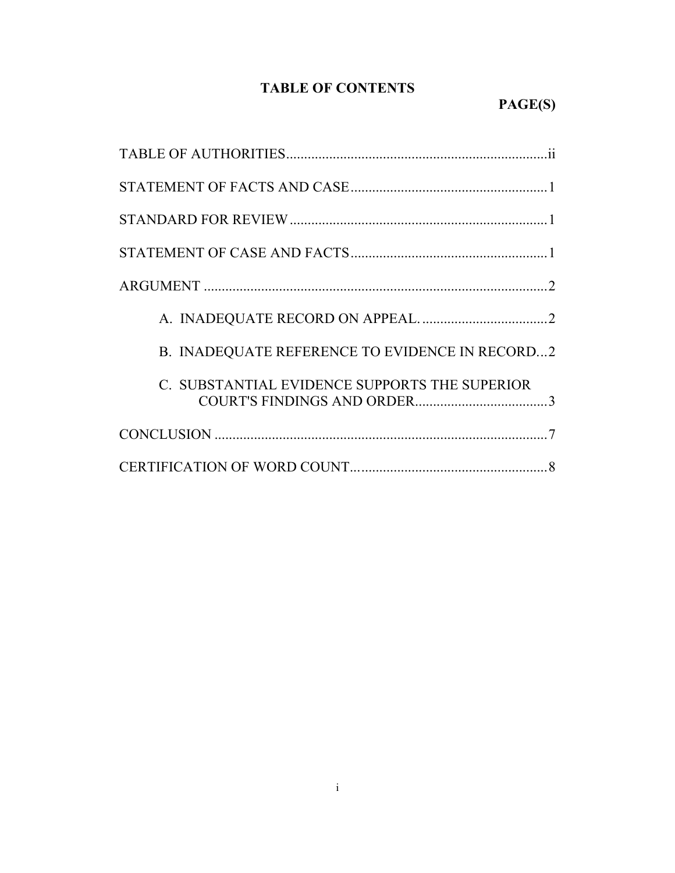### **TABLE OF CONTENTS**

| B. INADEQUATE REFERENCE TO EVIDENCE IN RECORD2 |  |  |
|------------------------------------------------|--|--|
| C. SUBSTANTIAL EVIDENCE SUPPORTS THE SUPERIOR  |  |  |
|                                                |  |  |
|                                                |  |  |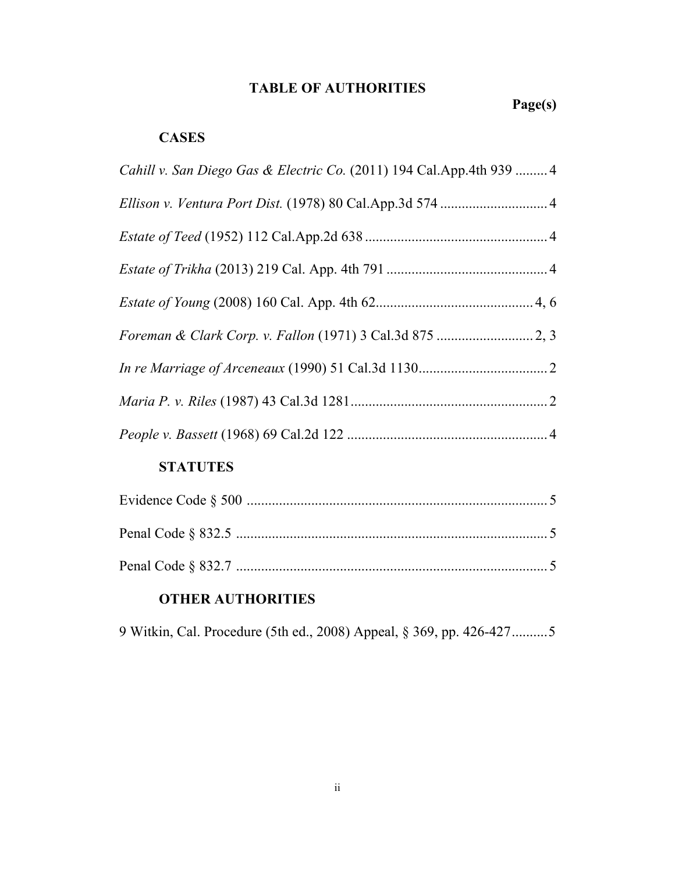### **TABLE OF AUTHORITIES**

### **CASES**

| Cahill v. San Diego Gas & Electric Co. (2011) 194 Cal.App.4th 939  4 |  |
|----------------------------------------------------------------------|--|
|                                                                      |  |
|                                                                      |  |
|                                                                      |  |
|                                                                      |  |
|                                                                      |  |
|                                                                      |  |
|                                                                      |  |
|                                                                      |  |
| <b>STATUTES</b>                                                      |  |
|                                                                      |  |
|                                                                      |  |

Penal Code § 832.7 ....................................................................................... 5

Penal Code § 832.5 ....................................................................................... 5

### **OTHER AUTHORITIES**

9 Witkin, Cal. Procedure (5th ed., 2008) Appeal, § 369, pp. 426-427..........5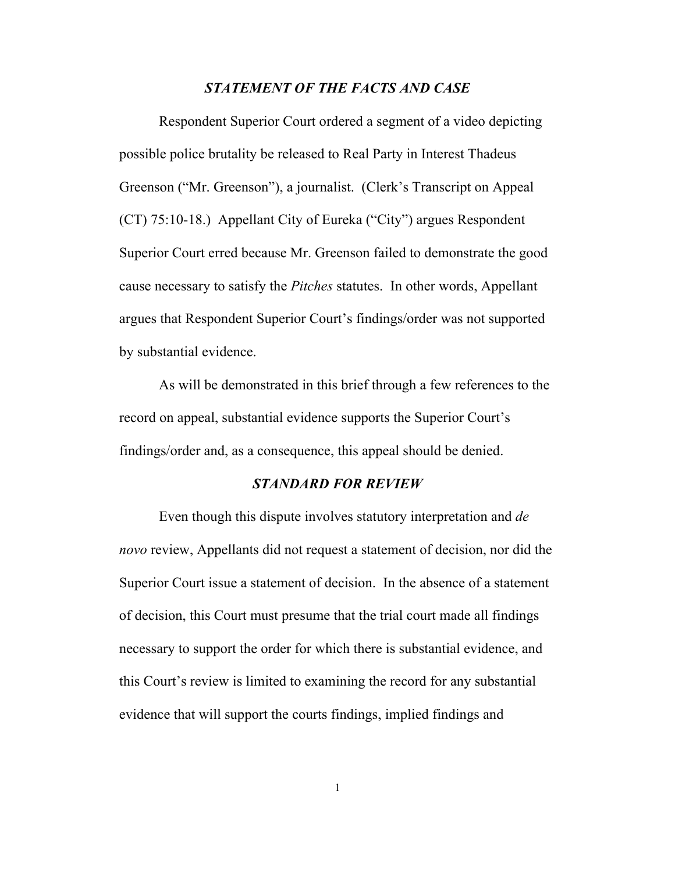#### *STATEMENT OF THE FACTS AND CASE*

Respondent Superior Court ordered a segment of a video depicting possible police brutality be released to Real Party in Interest Thadeus Greenson ("Mr. Greenson"), a journalist. (Clerk's Transcript on Appeal (CT) 75:10-18.) Appellant City of Eureka ("City") argues Respondent Superior Court erred because Mr. Greenson failed to demonstrate the good cause necessary to satisfy the *Pitches* statutes. In other words, Appellant argues that Respondent Superior Court's findings/order was not supported by substantial evidence.

As will be demonstrated in this brief through a few references to the record on appeal, substantial evidence supports the Superior Court's findings/order and, as a consequence, this appeal should be denied.

#### *STANDARD FOR REVIEW*

Even though this dispute involves statutory interpretation and *de novo* review, Appellants did not request a statement of decision, nor did the Superior Court issue a statement of decision. In the absence of a statement of decision, this Court must presume that the trial court made all findings necessary to support the order for which there is substantial evidence, and this Court's review is limited to examining the record for any substantial evidence that will support the courts findings, implied findings and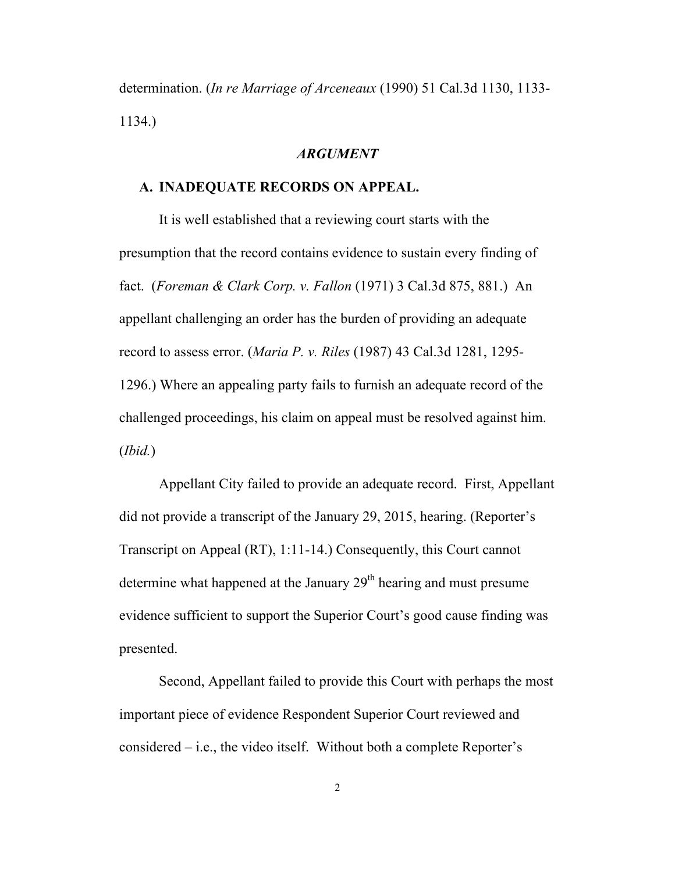determination. (*In re Marriage of Arceneaux* (1990) 51 Cal.3d 1130, 1133- 1134.)

#### *ARGUMENT*

#### **A. INADEQUATE RECORDS ON APPEAL.**

It is well established that a reviewing court starts with the presumption that the record contains evidence to sustain every finding of fact. (*Foreman & Clark Corp. v. Fallon* (1971) 3 Cal.3d 875, 881.) An appellant challenging an order has the burden of providing an adequate record to assess error. (*Maria P. v. Riles* (1987) 43 Cal.3d 1281, 1295- 1296.) Where an appealing party fails to furnish an adequate record of the challenged proceedings, his claim on appeal must be resolved against him. (*Ibid.*)

Appellant City failed to provide an adequate record. First, Appellant did not provide a transcript of the January 29, 2015, hearing. (Reporter's Transcript on Appeal (RT), 1:11-14.) Consequently, this Court cannot determine what happened at the January  $29<sup>th</sup>$  hearing and must presume evidence sufficient to support the Superior Court's good cause finding was presented.

Second, Appellant failed to provide this Court with perhaps the most important piece of evidence Respondent Superior Court reviewed and considered – i.e., the video itself. Without both a complete Reporter's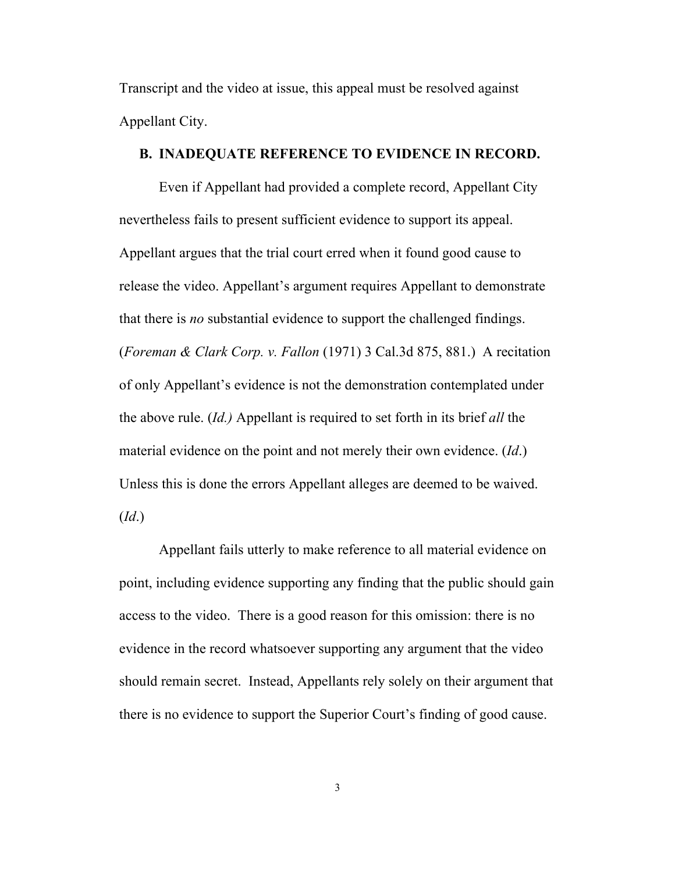Transcript and the video at issue, this appeal must be resolved against Appellant City.

#### **B. INADEQUATE REFERENCE TO EVIDENCE IN RECORD.**

Even if Appellant had provided a complete record, Appellant City nevertheless fails to present sufficient evidence to support its appeal. Appellant argues that the trial court erred when it found good cause to release the video. Appellant's argument requires Appellant to demonstrate that there is *no* substantial evidence to support the challenged findings. (*Foreman & Clark Corp. v. Fallon* (1971) 3 Cal.3d 875, 881.) A recitation of only Appellant's evidence is not the demonstration contemplated under the above rule. (*Id.)* Appellant is required to set forth in its brief *all* the material evidence on the point and not merely their own evidence. (*Id*.) Unless this is done the errors Appellant alleges are deemed to be waived. (*Id*.)

Appellant fails utterly to make reference to all material evidence on point, including evidence supporting any finding that the public should gain access to the video. There is a good reason for this omission: there is no evidence in the record whatsoever supporting any argument that the video should remain secret. Instead, Appellants rely solely on their argument that there is no evidence to support the Superior Court's finding of good cause.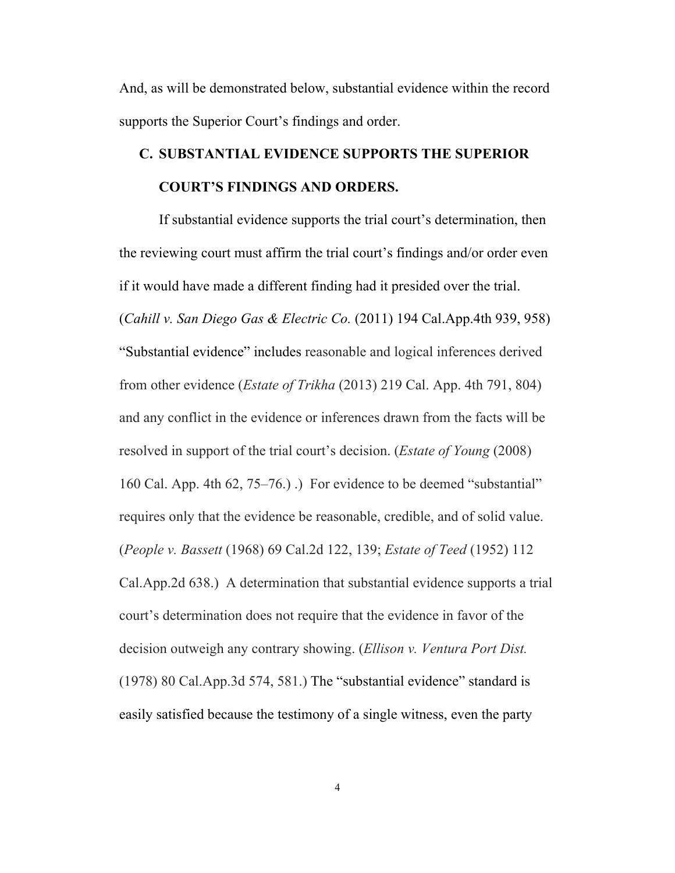And, as will be demonstrated below, substantial evidence within the record supports the Superior Court's findings and order.

# **C. SUBSTANTIAL EVIDENCE SUPPORTS THE SUPERIOR COURT'S FINDINGS AND ORDERS.**

If substantial evidence supports the trial court's determination, then the reviewing court must affirm the trial court's findings and/or order even if it would have made a different finding had it presided over the trial. (*Cahill v. San Diego Gas & Electric Co.* (2011) 194 Cal.App.4th 939, 958) "Substantial evidence" includes reasonable and logical inferences derived from other evidence (*Estate of Trikha* (2013) 219 Cal. App. 4th 791, 804) and any conflict in the evidence or inferences drawn from the facts will be resolved in support of the trial court's decision. (*Estate of Young* (2008) 160 Cal. App. 4th 62, 75–76.) .) For evidence to be deemed "substantial" requires only that the evidence be reasonable, credible, and of solid value. (*People v. Bassett* (1968) 69 Cal.2d 122, 139; *Estate of Teed* (1952) 112 Cal.App.2d 638.) A determination that substantial evidence supports a trial court's determination does not require that the evidence in favor of the decision outweigh any contrary showing. (*Ellison v. Ventura Port Dist.*  (1978) 80 Cal.App.3d 574, 581.) The "substantial evidence" standard is easily satisfied because the testimony of a single witness, even the party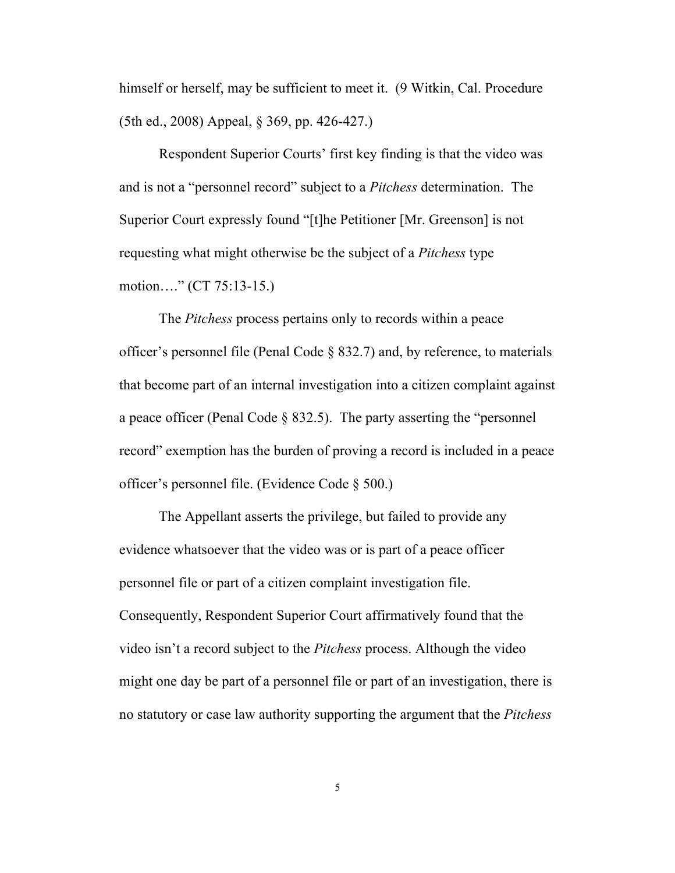himself or herself, may be sufficient to meet it. (9 Witkin, Cal. Procedure (5th ed., 2008) Appeal, § 369, pp. 426-427.)

Respondent Superior Courts' first key finding is that the video was and is not a "personnel record" subject to a *Pitchess* determination. The Superior Court expressly found "[t]he Petitioner [Mr. Greenson] is not requesting what might otherwise be the subject of a *Pitchess* type motion…." (CT 75:13-15.)

The *Pitchess* process pertains only to records within a peace officer's personnel file (Penal Code § 832.7) and, by reference, to materials that become part of an internal investigation into a citizen complaint against a peace officer (Penal Code § 832.5). The party asserting the "personnel record" exemption has the burden of proving a record is included in a peace officer's personnel file. (Evidence Code § 500.)

The Appellant asserts the privilege, but failed to provide any evidence whatsoever that the video was or is part of a peace officer personnel file or part of a citizen complaint investigation file. Consequently, Respondent Superior Court affirmatively found that the video isn't a record subject to the *Pitchess* process. Although the video might one day be part of a personnel file or part of an investigation, there is no statutory or case law authority supporting the argument that the *Pitchess*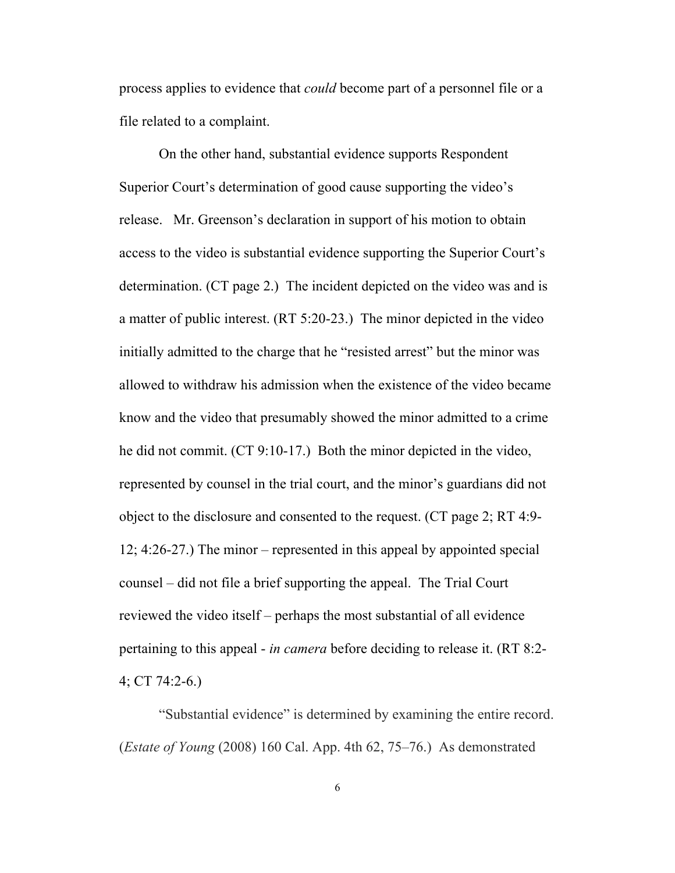process applies to evidence that *could* become part of a personnel file or a file related to a complaint.

On the other hand, substantial evidence supports Respondent Superior Court's determination of good cause supporting the video's release. Mr. Greenson's declaration in support of his motion to obtain access to the video is substantial evidence supporting the Superior Court's determination. (CT page 2.) The incident depicted on the video was and is a matter of public interest. (RT 5:20-23.) The minor depicted in the video initially admitted to the charge that he "resisted arrest" but the minor was allowed to withdraw his admission when the existence of the video became know and the video that presumably showed the minor admitted to a crime he did not commit. (CT 9:10-17.) Both the minor depicted in the video, represented by counsel in the trial court, and the minor's guardians did not object to the disclosure and consented to the request. (CT page 2; RT 4:9- 12; 4:26-27.) The minor – represented in this appeal by appointed special counsel – did not file a brief supporting the appeal. The Trial Court reviewed the video itself – perhaps the most substantial of all evidence pertaining to this appeal - *in camera* before deciding to release it. (RT 8:2- 4; CT 74:2-6.)

"Substantial evidence" is determined by examining the entire record. (*Estate of Young* (2008) 160 Cal. App. 4th 62, 75–76.) As demonstrated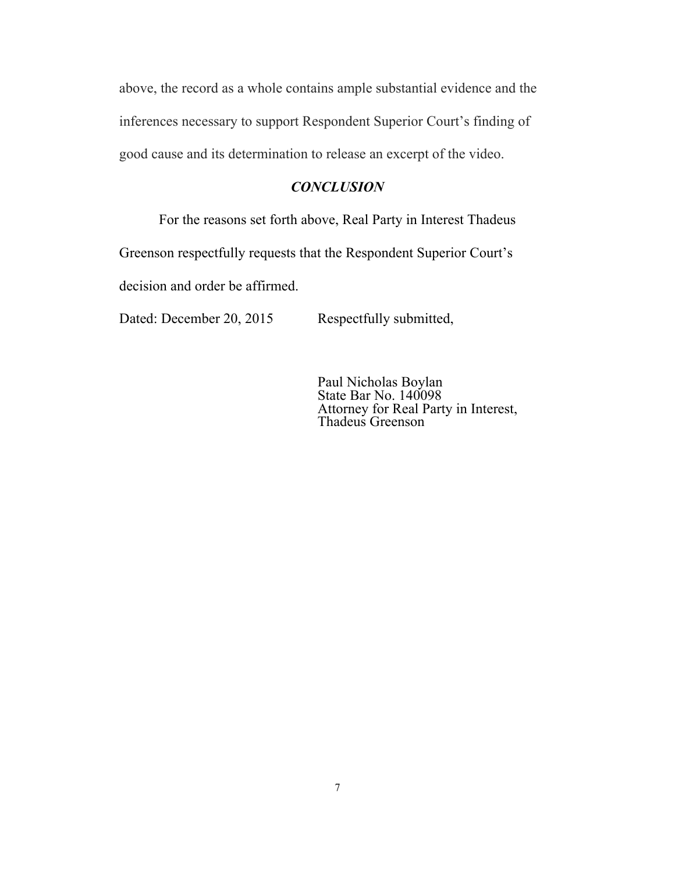above, the record as a whole contains ample substantial evidence and the inferences necessary to support Respondent Superior Court's finding of good cause and its determination to release an excerpt of the video.

#### *CONCLUSION*

For the reasons set forth above, Real Party in Interest Thadeus Greenson respectfully requests that the Respondent Superior Court's decision and order be affirmed.

Dated: December 20, 2015 Respectfully submitted,

Paul Nicholas Boylan State Bar No. 140098 Attorney for Real Party in Interest, Thadeus Greenson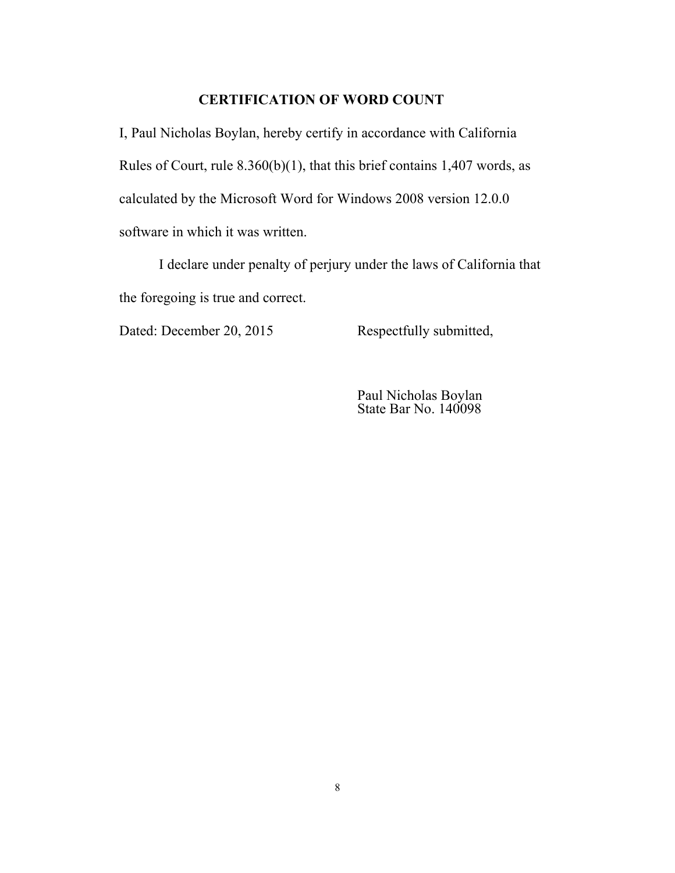### **CERTIFICATION OF WORD COUNT**

I, Paul Nicholas Boylan, hereby certify in accordance with California Rules of Court, rule 8.360(b)(1), that this brief contains 1,407 words, as calculated by the Microsoft Word for Windows 2008 version 12.0.0 software in which it was written.

I declare under penalty of perjury under the laws of California that the foregoing is true and correct.

Dated: December 20, 2015 Respectfully submitted,

Paul Nicholas Boylan State Bar No. 140098